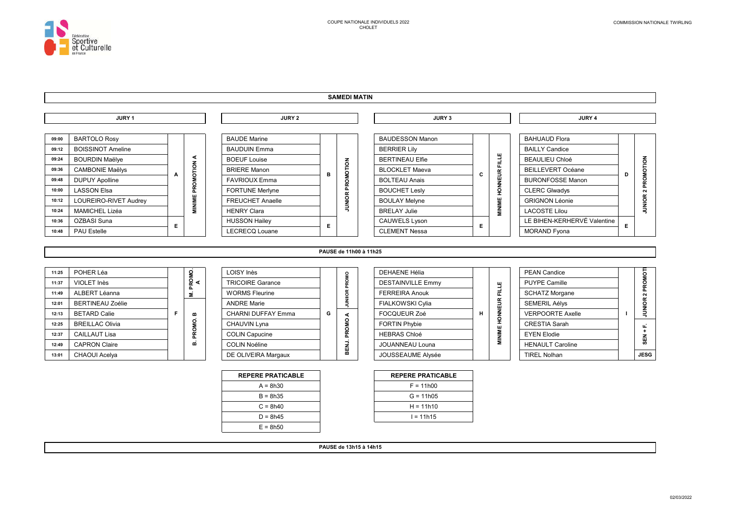

#### **SAMEDI MATIN**



PAUSE de 13h15 à 14h15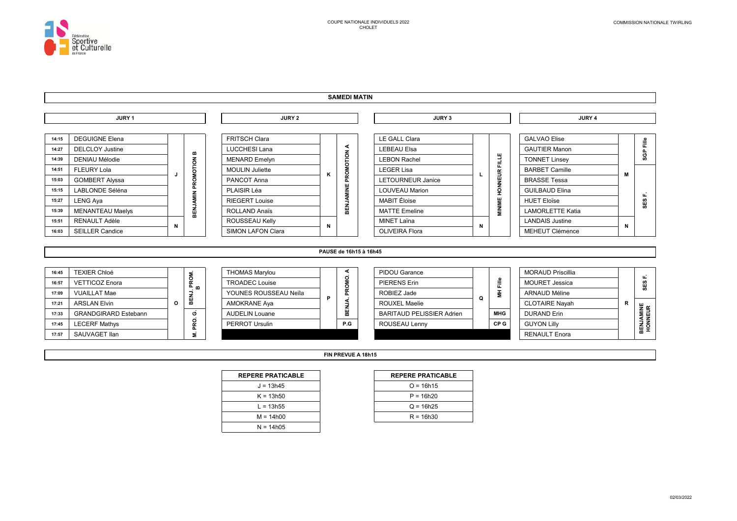

 $17:57$ 

SAUVAGET Ilan

#### **SAMEDI MATIN**



FIN PREVUE A 18h15

| <b>REPERE PRATICABLE</b> |  |
|--------------------------|--|
| $J = 13h45$              |  |
| $K = 13h50$              |  |
| L = 13h55                |  |
| $M = 14h00$              |  |
| $N = 14h05$              |  |

Ξ

| <b>REPERE PRATICABLE</b> |  |
|--------------------------|--|
| $Q = 16h15$              |  |
| $P = 16h20$              |  |
| $Q = 16h25$              |  |
| $R = 16h30$              |  |

**RENAULT Enora**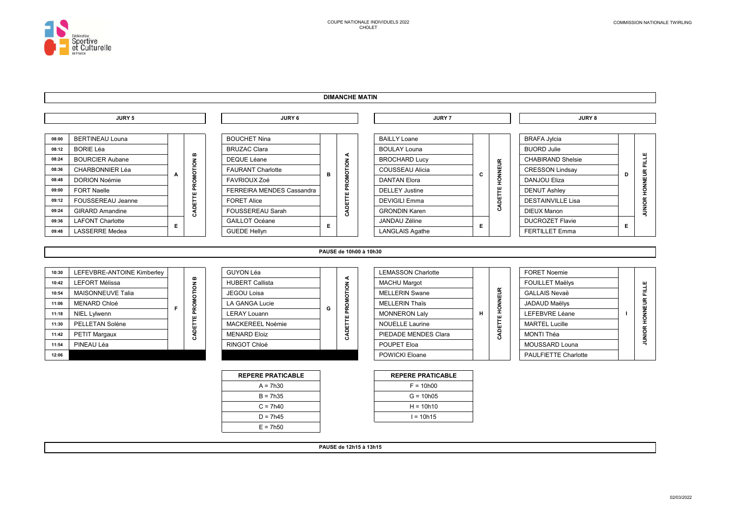

### **DIMANCHE MATIN**



PAUSE de 12h15 à 13h15